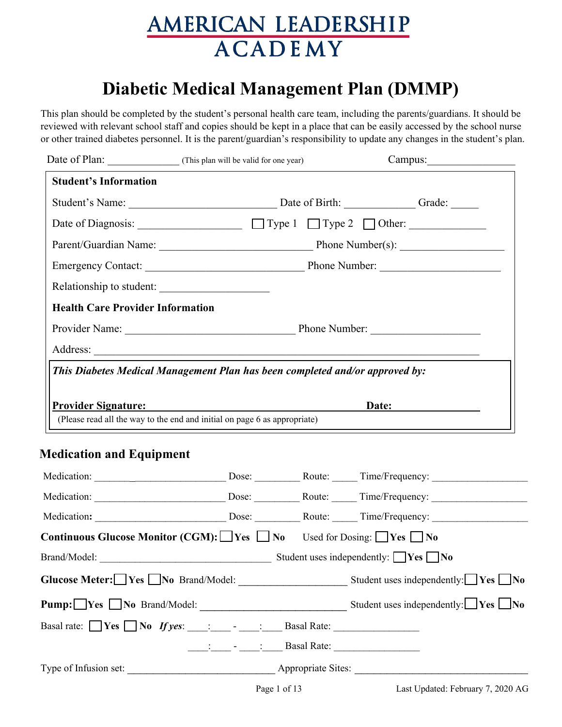## **Diabetic Medical Management Plan (DMMP)**

This plan should be completed by the student's personal health care team, including the parents/guardians. It should be reviewed with relevant school staff and copies should be kept in a place that can be easily accessed by the school nurse or other trained diabetes personnel. It is the parent/guardian's responsibility to update any changes in the student's plan.

|                                         | Date of Plan: (This plan will be valid for one year)                         | Campus: |
|-----------------------------------------|------------------------------------------------------------------------------|---------|
| <b>Student's Information</b>            |                                                                              |         |
|                                         | Student's Name: Date of Birth: Grade: Grade: Grade:                          |         |
|                                         | Date of Diagnosis: $\Box$ Type 1 $\Box$ Type 2 $\Box$ Other:                 |         |
|                                         |                                                                              |         |
|                                         |                                                                              |         |
|                                         | Relationship to student:                                                     |         |
| <b>Health Care Provider Information</b> |                                                                              |         |
|                                         |                                                                              |         |
|                                         |                                                                              |         |
|                                         | This Diabetes Medical Management Plan has been completed and/or approved by: |         |
|                                         |                                                                              |         |
|                                         | <b>Provider Signature:</b>                                                   | Date:   |

## **Medication and Equipment**

| <b>Continuous Glucose Monitor (CGM):</b> $\Box$ Yes $\Box$ No Used for Dosing: $\Box$ Yes $\Box$ No |                                                                                                                                                                                                                                                                                                                             |  |                                                  |
|-----------------------------------------------------------------------------------------------------|-----------------------------------------------------------------------------------------------------------------------------------------------------------------------------------------------------------------------------------------------------------------------------------------------------------------------------|--|--------------------------------------------------|
|                                                                                                     |                                                                                                                                                                                                                                                                                                                             |  |                                                  |
|                                                                                                     |                                                                                                                                                                                                                                                                                                                             |  |                                                  |
| $Pump: \square Yes \square No \ Brand/Model:$                                                       |                                                                                                                                                                                                                                                                                                                             |  | Student uses independently: $\Box$ Yes $\Box$ No |
| Basal rate: $\Box$ Yes $\Box$ No <i>If yes</i> : $\Box$ : $\Box$ - $\Box$ Basal Rate: $\Box$        |                                                                                                                                                                                                                                                                                                                             |  |                                                  |
|                                                                                                     | $\frac{1}{\frac{1}{2}}$ $\frac{1}{2}$ $\frac{1}{2}$ $\frac{1}{2}$ $\frac{1}{2}$ $\frac{1}{2}$ $\frac{1}{2}$ $\frac{1}{2}$ $\frac{1}{2}$ $\frac{1}{2}$ $\frac{1}{2}$ $\frac{1}{2}$ $\frac{1}{2}$ $\frac{1}{2}$ $\frac{1}{2}$ $\frac{1}{2}$ $\frac{1}{2}$ $\frac{1}{2}$ $\frac{1}{2}$ $\frac{1}{2}$ $\frac{1}{2}$ $\frac{1}{$ |  |                                                  |
|                                                                                                     |                                                                                                                                                                                                                                                                                                                             |  |                                                  |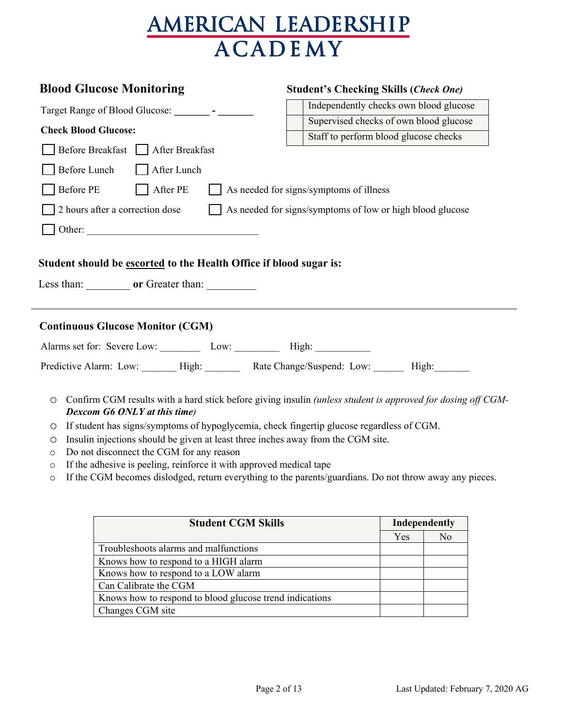| <b>Blood Glucose Monitoring</b>                                                                                                                                                                                                                                                                       | <b>Student's Checking Skills (Check One)</b>                                                                |
|-------------------------------------------------------------------------------------------------------------------------------------------------------------------------------------------------------------------------------------------------------------------------------------------------------|-------------------------------------------------------------------------------------------------------------|
| Target Range of Blood Glucose: ________ - ________                                                                                                                                                                                                                                                    | Independently checks own blood glucose                                                                      |
| <b>Check Blood Glucose:</b>                                                                                                                                                                                                                                                                           | Supervised checks of own blood glucose                                                                      |
|                                                                                                                                                                                                                                                                                                       | Staff to perform blood glucose checks                                                                       |
| Before Breakfast □ After Breakfast                                                                                                                                                                                                                                                                    |                                                                                                             |
| Before Lunch<br>  After Lunch                                                                                                                                                                                                                                                                         |                                                                                                             |
| Before PE<br>$\Box$ After PE                                                                                                                                                                                                                                                                          | $\Box$ As needed for signs/symptoms of illness                                                              |
| 2 hours after a correction dose                                                                                                                                                                                                                                                                       | As needed for signs/symptoms of low or high blood glucose                                                   |
|                                                                                                                                                                                                                                                                                                       |                                                                                                             |
| Student should be escorted to the Health Office if blood sugar is:<br>Less than: or Greater than:                                                                                                                                                                                                     |                                                                                                             |
| <b>Continuous Glucose Monitor (CGM)</b>                                                                                                                                                                                                                                                               |                                                                                                             |
| Alarms set for: Severe Low: Low: Low: High: High:                                                                                                                                                                                                                                                     |                                                                                                             |
| Predictive Alarm: Low: _______ High: _______ Rate Change/Suspend: Low: ______ High: ______                                                                                                                                                                                                            |                                                                                                             |
| $\circ$<br>Dexcom G6 ONLY at this time)<br>If student has signs/symptoms of hypoglycemia, check fingertip glucose regardless of CGM.<br>$\circ$<br>Insulin injections should be given at least three inches away from the CGM site.<br>$\circ$<br>Do not disconnect the CGM for any reason<br>$\circ$ | Confirm CGM results with a hard stick before giving insulin (unless student is approved for dosing off CGM- |

- o If the adhesive is peeling, reinforce it with approved medical tape
- o If the CGM becomes dislodged, return everything to the parents/guardians. Do not throw away any pieces.

| <b>Student CGM Skills</b>                               | Independently |    |
|---------------------------------------------------------|---------------|----|
|                                                         | Yes           | No |
| Troubleshoots alarms and malfunctions                   |               |    |
| Knows how to respond to a HIGH alarm                    |               |    |
| Knows how to respond to a LOW alarm                     |               |    |
| Can Calibrate the CGM                                   |               |    |
| Knows how to respond to blood glucose trend indications |               |    |
| Changes CGM site                                        |               |    |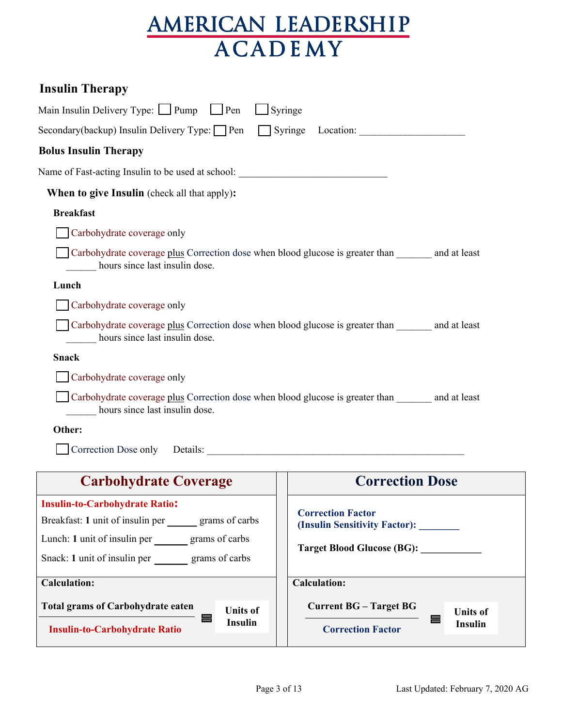| <b>Insulin Therapy</b>                                                                                                       |                                                                                              |  |  |  |
|------------------------------------------------------------------------------------------------------------------------------|----------------------------------------------------------------------------------------------|--|--|--|
| Main Insulin Delivery Type: $\Box$ Pump $\Box$ Pen                                                                           | Syringe                                                                                      |  |  |  |
| Secondary(backup) Insulin Delivery Type: □ Pen                                                                               |                                                                                              |  |  |  |
| <b>Bolus Insulin Therapy</b>                                                                                                 |                                                                                              |  |  |  |
| Name of Fast-acting Insulin to be used at school: _______________________________                                            |                                                                                              |  |  |  |
| <b>When to give Insulin</b> (check all that apply):                                                                          |                                                                                              |  |  |  |
| <b>Breakfast</b>                                                                                                             |                                                                                              |  |  |  |
| Carbohydrate coverage only                                                                                                   |                                                                                              |  |  |  |
| Carbohydrate coverage plus Correction dose when blood glucose is greater than and at least<br>hours since last insulin dose. |                                                                                              |  |  |  |
| Lunch                                                                                                                        |                                                                                              |  |  |  |
| Carbohydrate coverage only                                                                                                   |                                                                                              |  |  |  |
| Carbohydrate coverage plus Correction dose when blood glucose is greater than and at least<br>hours since last insulin dose. |                                                                                              |  |  |  |
| <b>Snack</b>                                                                                                                 |                                                                                              |  |  |  |
| Carbohydrate coverage only                                                                                                   |                                                                                              |  |  |  |
| Carbohydrate coverage plus Correction dose when blood glucose is greater than and at least<br>hours since last insulin dose. |                                                                                              |  |  |  |
| Other:                                                                                                                       |                                                                                              |  |  |  |
| Correction Dose only Details:                                                                                                |                                                                                              |  |  |  |
| <b>Carbohydrate Coverage</b>                                                                                                 | <b>Correction Dose</b>                                                                       |  |  |  |
| <b>Insulin-to-Carbohydrate Ratio:</b>                                                                                        |                                                                                              |  |  |  |
| Breakfast: 1 unit of insulin per grams of carbs                                                                              | <b>Correction Factor</b><br>(Insulin Sensitivity Factor):                                    |  |  |  |
| Lunch: 1 unit of insulin per grams of carbs                                                                                  |                                                                                              |  |  |  |
| Target Blood Glucose (BG): __________<br>Snack: 1 unit of insulin per _________ grams of carbs                               |                                                                                              |  |  |  |
| <b>Calculation:</b>                                                                                                          | <b>Calculation:</b>                                                                          |  |  |  |
| <b>Total grams of Carbohydrate eaten</b><br><b>Units of</b><br>⊟<br><b>Insulin</b><br><b>Insulin-to-Carbohydrate Ratio</b>   | <b>Current BG - Target BG</b><br><b>Units of</b><br>≡<br>Insulin<br><b>Correction Factor</b> |  |  |  |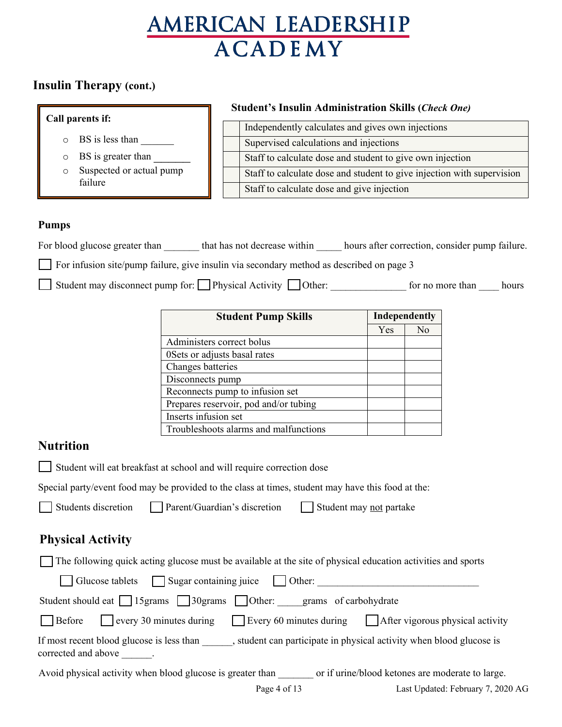## **Insulin Therapy (cont.)**

|                                                                       |                                        | <b>Student's Insulin Administration Skills (Check One)</b>                                                                 |     |                |  |  |
|-----------------------------------------------------------------------|----------------------------------------|----------------------------------------------------------------------------------------------------------------------------|-----|----------------|--|--|
| Call parents if:                                                      |                                        | Independently calculates and gives own injections                                                                          |     |                |  |  |
| BS is less than<br>O                                                  | Supervised calculations and injections |                                                                                                                            |     |                |  |  |
| BS is greater than<br>O                                               |                                        | Staff to calculate dose and student to give own injection                                                                  |     |                |  |  |
| Suspected or actual pump<br>$\circ$                                   |                                        | Staff to calculate dose and student to give injection with supervision                                                     |     |                |  |  |
| failure                                                               |                                        | Staff to calculate dose and give injection                                                                                 |     |                |  |  |
|                                                                       |                                        |                                                                                                                            |     |                |  |  |
| <b>Pumps</b>                                                          |                                        |                                                                                                                            |     |                |  |  |
|                                                                       |                                        | For blood glucose greater than ________ that has not decrease within ______ hours after correction, consider pump failure. |     |                |  |  |
|                                                                       |                                        | For infusion site/pump failure, give insulin via secondary method as described on page 3                                   |     |                |  |  |
|                                                                       |                                        |                                                                                                                            |     |                |  |  |
|                                                                       |                                        | Student may disconnect pump for: Physical Activity Other: _______________________ for no more than ______ hours            |     |                |  |  |
|                                                                       |                                        | <b>Student Pump Skills</b>                                                                                                 |     | Independently  |  |  |
|                                                                       |                                        |                                                                                                                            | Yes | N <sub>o</sub> |  |  |
|                                                                       | Administers correct bolus              |                                                                                                                            |     |                |  |  |
|                                                                       | 0Sets or adjusts basal rates           |                                                                                                                            |     |                |  |  |
|                                                                       | Changes batteries<br>Disconnects pump  |                                                                                                                            |     |                |  |  |
|                                                                       | Reconnects pump to infusion set        |                                                                                                                            |     |                |  |  |
|                                                                       | Prepares reservoir, pod and/or tubing  |                                                                                                                            |     |                |  |  |
| Inserts infusion set<br>Troubleshoots alarms and malfunctions         |                                        |                                                                                                                            |     |                |  |  |
|                                                                       |                                        |                                                                                                                            |     |                |  |  |
| <b>Nutrition</b>                                                      |                                        |                                                                                                                            |     |                |  |  |
| Student will eat breakfast at school and will require correction dose |                                        |                                                                                                                            |     |                |  |  |
|                                                                       |                                        | Special party/event food may be provided to the class at times, student may have this food at the:                         |     |                |  |  |
|                                                                       |                                        | Students discretion Parent/Guardian's discretion Student may not partake                                                   |     |                |  |  |
| <b>Physical Activity</b>                                              |                                        |                                                                                                                            |     |                |  |  |
|                                                                       |                                        | The following quick acting glucose must be available at the site of physical education activities and sports               |     |                |  |  |
| Glucose tablets                                                       |                                        | Sugar containing juice<br>Other: <u>Other:</u> Other: <u> Other:</u>                                                       |     |                |  |  |
|                                                                       |                                        | Student should eat 15 grams 30 grams Other: grams of carbohydrate                                                          |     |                |  |  |
| Before                                                                |                                        | every 30 minutes during Every 60 minutes during After vigorous physical activity                                           |     |                |  |  |
| corrected and above                                                   |                                        | If most recent blood glucose is less than , student can participate in physical activity when blood glucose is             |     |                |  |  |

Avoid physical activity when blood glucose is greater than \_\_\_\_\_\_\_ or if urine/blood ketones are moderate to large.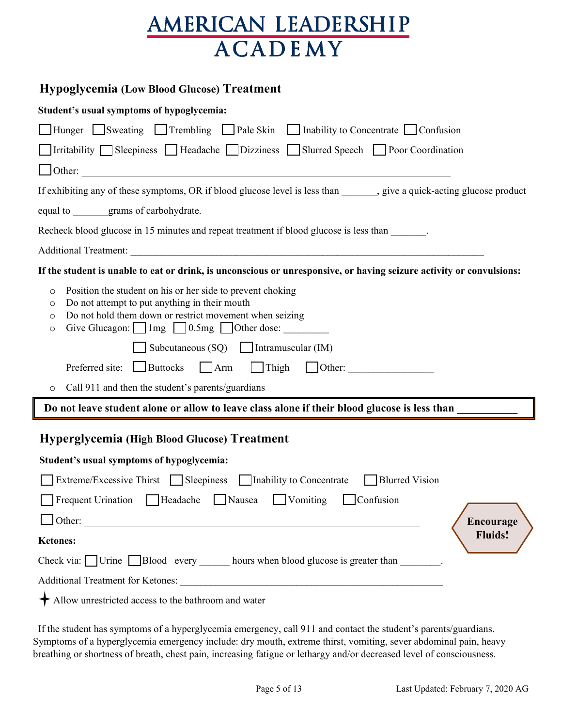### **Hypoglycemia (Low Blood Glucose) Treatment**

| Student's usual symptoms of hypoglycemia:                                                                                                                                                                                                                                                                                                                                                      |
|------------------------------------------------------------------------------------------------------------------------------------------------------------------------------------------------------------------------------------------------------------------------------------------------------------------------------------------------------------------------------------------------|
| ■ Hunger Sweating Trembling Pale Skin Inability to Concentrate Confusion                                                                                                                                                                                                                                                                                                                       |
| Irritability Sleepiness Headache Dizziness Slurred Speech Poor Coordination                                                                                                                                                                                                                                                                                                                    |
|                                                                                                                                                                                                                                                                                                                                                                                                |
| If exhibiting any of these symptoms, OR if blood glucose level is less than ______, give a quick-acting glucose product                                                                                                                                                                                                                                                                        |
| equal to grams of carbohydrate.                                                                                                                                                                                                                                                                                                                                                                |
| Recheck blood glucose in 15 minutes and repeat treatment if blood glucose is less than                                                                                                                                                                                                                                                                                                         |
|                                                                                                                                                                                                                                                                                                                                                                                                |
| If the student is unable to eat or drink, is unconscious or unresponsive, or having seizure activity or convulsions:                                                                                                                                                                                                                                                                           |
| Position the student on his or her side to prevent choking<br>$\circ$<br>Do not attempt to put anything in their mouth<br>O<br>Do not hold them down or restrict movement when seizing<br>$\circ$<br>Give Glucagon: $\Box$ 1mg $\Box$ 0.5mg $\Box$ Other dose:<br>O<br>Subcutaneous $(SQ)$ [ Intramuscular (IM)<br>Preferred site: $\Box$ Buttocks<br>$\Box$ Thigh $\Box$ Other:<br>$\Box$ Arm |
| Call 911 and then the student's parents/guardians<br>$\circ$                                                                                                                                                                                                                                                                                                                                   |
| Do not leave student alone or allow to leave class alone if their blood glucose is less than                                                                                                                                                                                                                                                                                                   |
| <b>Hyperglycemia (High Blood Glucose) Treatment</b>                                                                                                                                                                                                                                                                                                                                            |
| Student's usual symptoms of hypoglycemia:                                                                                                                                                                                                                                                                                                                                                      |
| Extreme/Excessive Thirst $\Box$ Sleepiness $\Box$ Inability to Concentrate<br><b>Blurred Vision</b>                                                                                                                                                                                                                                                                                            |
| Frequent Urination Headache Nausea<br>$\Box$ Vomiting<br>  Confusion                                                                                                                                                                                                                                                                                                                           |
| Other:<br><b>Encourage</b><br><u> 1989 - John Stein, Amerikaansk politiker (* 1918)</u>                                                                                                                                                                                                                                                                                                        |
| <b>Fluids!</b><br><b>Ketones:</b>                                                                                                                                                                                                                                                                                                                                                              |
| Check via: $\Box$ Urine $\Box$ Blood every ______ hours when blood glucose is greater than _______.                                                                                                                                                                                                                                                                                            |
|                                                                                                                                                                                                                                                                                                                                                                                                |
| Allow unrestricted access to the bathroom and water                                                                                                                                                                                                                                                                                                                                            |

 If the student has symptoms of a hyperglycemia emergency, call 911 and contact the student's parents/guardians. Symptoms of a hyperglycemia emergency include: dry mouth, extreme thirst, vomiting, sever abdominal pain, heavy breathing or shortness of breath, chest pain, increasing fatigue or lethargy and/or decreased level of consciousness.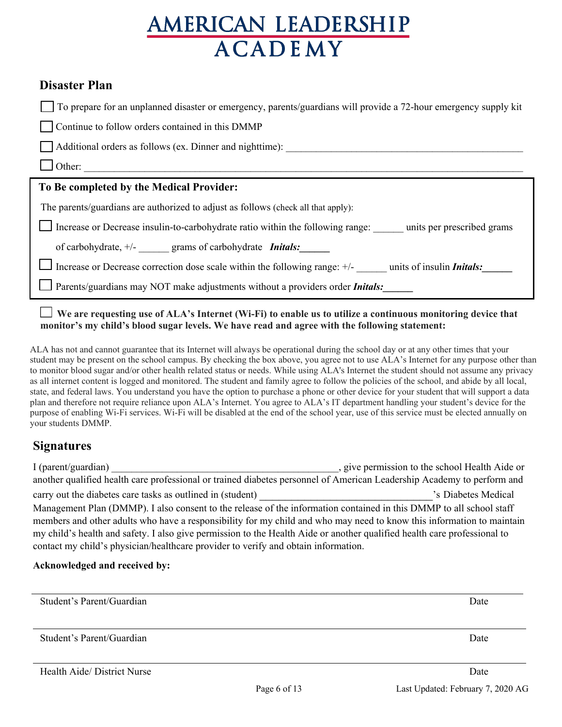## **Disaster Plan**

| To prepare for an unplanned disaster or emergency, parents/guardians will provide a 72-hour emergency supply kit |  |  |
|------------------------------------------------------------------------------------------------------------------|--|--|
|------------------------------------------------------------------------------------------------------------------|--|--|

Continue to follow orders contained in this DMMP

Additional orders as follows (ex. Dinner and nighttime):

### $\Box$  Other:

### **To Be completed by the Medical Provider:**

The parents/guardians are authorized to adjust as follows (check all that apply):

Increase or Decrease insulin-to-carbohydrate ratio within the following range:  $\Box$  units per prescribed grams

of carbohydrate, +/- \_\_\_\_\_\_ grams of carbohydrate *Initals:\_\_\_\_\_\_*

Increase or Decrease correction dose scale within the following range:  $+/-$  units of insulin *Initals:* 

Parents/guardians may NOT make adjustments without a providers order *Initals:\_\_\_\_\_\_*

 **We are requesting use of ALA's Internet (Wi-Fi) to enable us to utilize a continuous monitoring device that monitor's my child's blood sugar levels. We have read and agree with the following statement:**

ALA has not and cannot guarantee that its Internet will always be operational during the school day or at any other times that your student may be present on the school campus. By checking the box above, you agree not to use ALA's Internet for any purpose other than to monitor blood sugar and/or other health related status or needs. While using ALA's Internet the student should not assume any privacy as all internet content is logged and monitored. The student and family agree to follow the policies of the school, and abide by all local, state, and federal laws. You understand you have the option to purchase a phone or other device for your student that will support a data plan and therefore not require reliance upon ALA's Internet. You agree to ALA's IT department handling your student's device for the purpose of enabling Wi-Fi services. Wi-Fi will be disabled at the end of the school year, use of this service must be elected annually on your students DMMP.

## **Signatures**

I (parent/guardian)  $\qquad \qquad$  , give permission to the school Health Aide or another qualified health care professional or trained diabetes personnel of American Leadership Academy to perform and carry out the diabetes care tasks as outlined in (student)  $\cdot$  s Diabetes Medical Management Plan (DMMP). I also consent to the release of the information contained in this DMMP to all school staff members and other adults who have a responsibility for my child and who may need to know this information to maintain my child's health and safety. I also give permission to the Health Aide or another qualified health care professional to contact my child's physician/healthcare provider to verify and obtain information.

### **Acknowledged and received by:**

| Student's Parent/Guardian   | Date |
|-----------------------------|------|
|                             |      |
|                             |      |
|                             |      |
|                             |      |
| Student's Parent/Guardian   | Date |
|                             |      |
|                             |      |
|                             |      |
| Health Aide/ District Nurse | Date |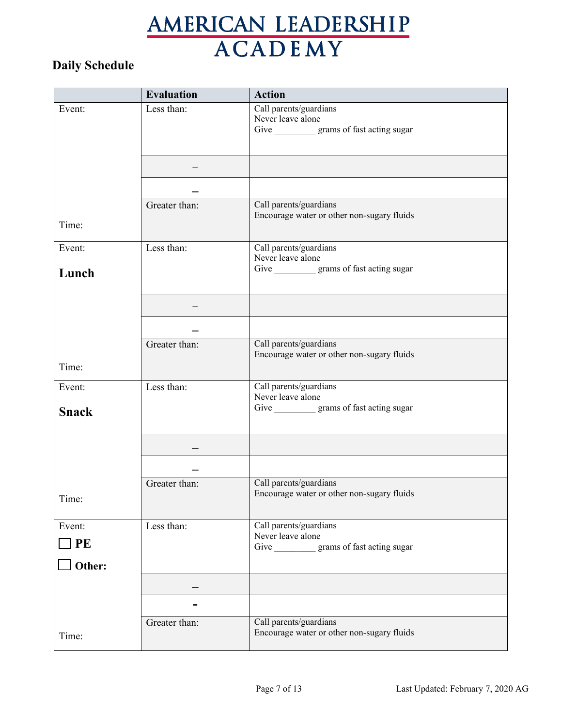## **Daily Schedule**

|                | <b>Evaluation</b> | <b>Action</b>                                                                               |
|----------------|-------------------|---------------------------------------------------------------------------------------------|
| Event:         | Less than:        | Call parents/guardians<br>Never leave alone<br>Give ____________ grams of fast acting sugar |
|                |                   |                                                                                             |
|                |                   |                                                                                             |
| Time:          | Greater than:     | Call parents/guardians<br>Encourage water or other non-sugary fluids                        |
| Event:         | Less than:        | Call parents/guardians<br>Never leave alone                                                 |
| Lunch          |                   | Give ____________ grams of fast acting sugar                                                |
|                |                   |                                                                                             |
|                |                   |                                                                                             |
| Time:          | Greater than:     | Call parents/guardians<br>Encourage water or other non-sugary fluids                        |
| Event:         | Less than:        | Call parents/guardians                                                                      |
| <b>Snack</b>   |                   | Never leave alone<br>Give ____________ grams of fast acting sugar                           |
|                |                   |                                                                                             |
|                |                   |                                                                                             |
| Time:          | Greater than:     | Call parents/guardians<br>Encourage water or other non-sugary fluids                        |
| Event:<br>] PE | Less than:        | Call parents/guardians<br>Never leave alone<br>Give ____________ grams of fast acting sugar |
| Other:         |                   |                                                                                             |
|                |                   |                                                                                             |
|                |                   |                                                                                             |
| Time:          | Greater than:     | Call parents/guardians<br>Encourage water or other non-sugary fluids                        |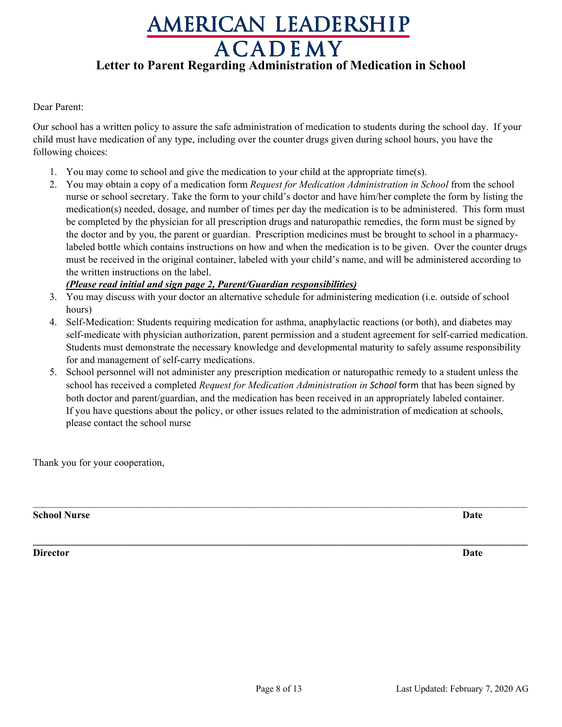## AMERICAN LEADERSHIP **ACADEMY Letter to Parent Regarding Administration of Medication in School**

Dear Parent:

Our school has a written policy to assure the safe administration of medication to students during the school day. If your child must have medication of any type, including over the counter drugs given during school hours, you have the following choices:

- 1. You may come to school and give the medication to your child at the appropriate time(s).
- 2. You may obtain a copy of a medication form *Request for Medication Administration in School* from the school nurse or school secretary. Take the form to your child's doctor and have him/her complete the form by listing the medication(s) needed, dosage, and number of times per day the medication is to be administered. This form must be completed by the physician for all prescription drugs and naturopathic remedies, the form must be signed by the doctor and by you, the parent or guardian. Prescription medicines must be brought to school in a pharmacylabeled bottle which contains instructions on how and when the medication is to be given. Over the counter drugs must be received in the original container, labeled with your child's name, and will be administered according to the written instructions on the label.

#### *(Please read initial and sign page 2, Parent/Guardian responsibilities)*

- 3. You may discuss with your doctor an alternative schedule for administering medication (i.e. outside of school hours)
- 4. Self-Medication: Students requiring medication for asthma, anaphylactic reactions (or both), and diabetes may self-medicate with physician authorization, parent permission and a student agreement for self-carried medication. Students must demonstrate the necessary knowledge and developmental maturity to safely assume responsibility for and management of self-carry medications.
- 5. School personnel will not administer any prescription medication or naturopathic remedy to a student unless the school has received a completed *Request for Medication Administration in School* form that has been signed by both doctor and parent/guardian, and the medication has been received in an appropriately labeled container. If you have questions about the policy, or other issues related to the administration of medication at schools, please contact the school nurse

 $\_$ 

**\_\_\_\_\_\_\_\_\_\_\_\_\_\_\_\_\_\_\_\_\_\_\_\_\_\_\_\_\_\_\_\_\_\_\_\_\_\_\_\_\_\_\_\_\_\_\_\_\_\_\_\_\_\_\_\_\_\_\_\_\_\_\_\_\_\_\_\_\_\_\_\_\_\_\_\_\_\_\_\_\_\_\_\_\_\_\_\_\_\_\_\_\_\_\_\_\_\_**

Thank you for your cooperation,

**School Nurse Date**

**Director Date**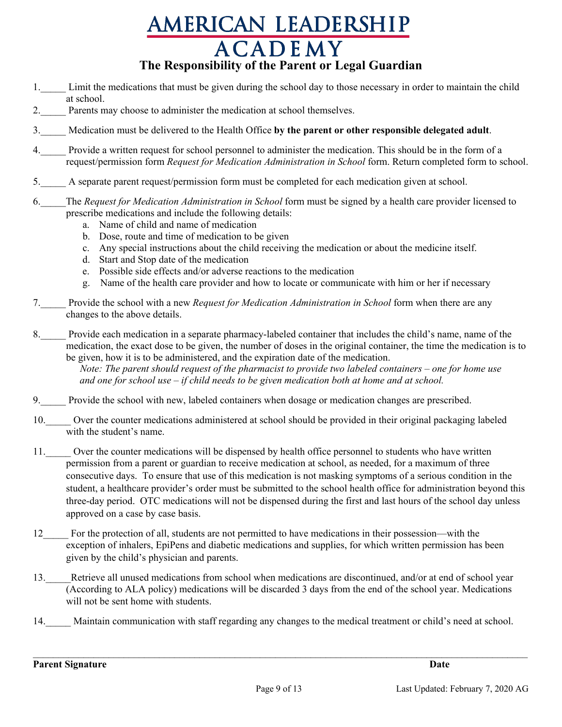## AMERICAN LEADERSHIP **ACADEMY The Responsibility of the Parent or Legal Guardian**

- 1. Limit the medications that must be given during the school day to those necessary in order to maintain the child at school.
- 2. Parents may choose to administer the medication at school themselves.
- 3.\_\_\_\_\_ Medication must be delivered to the Health Office **by the parent or other responsible delegated adult**.
- 4.\_\_\_\_\_ Provide a written request for school personnel to administer the medication. This should be in the form of a request/permission form *Request for Medication Administration in School* form. Return completed form to school.
- 5.\_\_\_\_\_ A separate parent request/permission form must be completed for each medication given at school.
- 6.\_\_\_\_\_The *Request for Medication Administration in School* form must be signed by a health care provider licensed to prescribe medications and include the following details:
	- a. Name of child and name of medication
	- b. Dose, route and time of medication to be given
	- c. Any special instructions about the child receiving the medication or about the medicine itself.
	- d. Start and Stop date of the medication
	- e. Possible side effects and/or adverse reactions to the medication
	- g. Name of the health care provider and how to locate or communicate with him or her if necessary
- 7.\_\_\_\_\_ Provide the school with a new *Request for Medication Administration in School* form when there are any changes to the above details.
- 8. Provide each medication in a separate pharmacy-labeled container that includes the child's name, name of the medication, the exact dose to be given, the number of doses in the original container, the time the medication is to be given, how it is to be administered, and the expiration date of the medication.

 *Note: The parent should request of the pharmacist to provide two labeled containers – one for home use and one for school use – if child needs to be given medication both at home and at school.*

- 9.\_\_\_\_\_ Provide the school with new, labeled containers when dosage or medication changes are prescribed.
- 10. Over the counter medications administered at school should be provided in their original packaging labeled with the student's name.
- 11. Over the counter medications will be dispensed by health office personnel to students who have written permission from a parent or guardian to receive medication at school, as needed, for a maximum of three consecutive days. To ensure that use of this medication is not masking symptoms of a serious condition in the student, a healthcare provider's order must be submitted to the school health office for administration beyond this three-day period. OTC medications will not be dispensed during the first and last hours of the school day unless approved on a case by case basis.
- 12\_\_\_\_\_ For the protection of all, students are not permitted to have medications in their possession—with the exception of inhalers, EpiPens and diabetic medications and supplies, for which written permission has been given by the child's physician and parents.
- 13. Retrieve all unused medications from school when medications are discontinued, and/or at end of school year (According to ALA policy) medications will be discarded 3 days from the end of the school year. Medications will not be sent home with students.
- 14. Maintain communication with staff regarding any changes to the medical treatment or child's need at school.

 $\mathcal{L}_\mathcal{L} = \mathcal{L}_\mathcal{L} = \mathcal{L}_\mathcal{L} = \mathcal{L}_\mathcal{L} = \mathcal{L}_\mathcal{L} = \mathcal{L}_\mathcal{L} = \mathcal{L}_\mathcal{L} = \mathcal{L}_\mathcal{L} = \mathcal{L}_\mathcal{L} = \mathcal{L}_\mathcal{L} = \mathcal{L}_\mathcal{L} = \mathcal{L}_\mathcal{L} = \mathcal{L}_\mathcal{L} = \mathcal{L}_\mathcal{L} = \mathcal{L}_\mathcal{L} = \mathcal{L}_\mathcal{L} = \mathcal{L}_\mathcal{L}$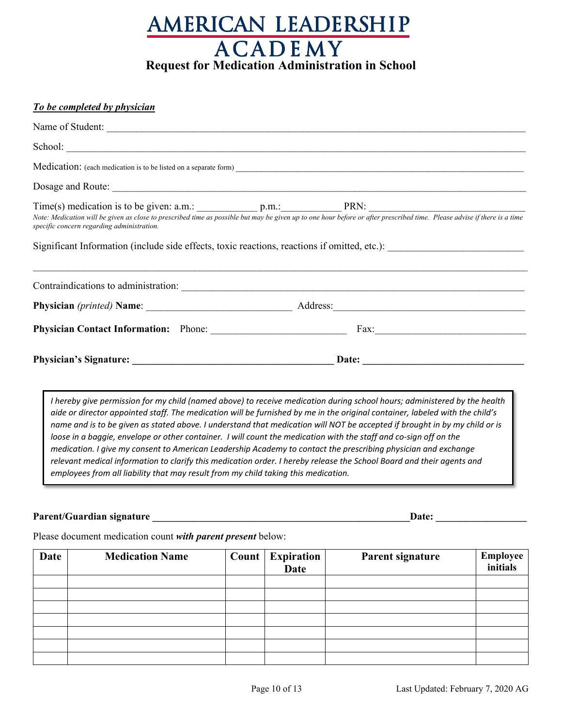

#### *To be completed by physician*

| Name of Student:                                                                                                                                                                                                                                                               |       |
|--------------------------------------------------------------------------------------------------------------------------------------------------------------------------------------------------------------------------------------------------------------------------------|-------|
|                                                                                                                                                                                                                                                                                |       |
|                                                                                                                                                                                                                                                                                |       |
|                                                                                                                                                                                                                                                                                |       |
| Time(s) medication is to be given: a.m.: p.m.: p.m.: PRN:<br>Note: Medication will be given as close to prescribed time as possible but may be given up to one hour before or after prescribed time. Please advise if there is a<br>specific concern regarding administration. |       |
|                                                                                                                                                                                                                                                                                |       |
|                                                                                                                                                                                                                                                                                |       |
|                                                                                                                                                                                                                                                                                |       |
|                                                                                                                                                                                                                                                                                | Date: |
|                                                                                                                                                                                                                                                                                |       |

*I hereby give permission for my child (named above) to receive medication during school hours; administered by the health aide or director appointed staff. The medication will be furnished by me in the original container, labeled with the child's name and is to be given as stated above. I understand that medication will NOT be accepted if brought in by my child or is loose in a baggie, envelope or other container. I will count the medication with the staff and co-sign off on the medication. I give my consent to American Leadership Academy to contact the prescribing physician and exchange relevant medical information to clarify this medication order. I hereby release the School Board and their agents and employees from all liability that may result from my child taking this medication.*

#### **Parent/Guardian signature \_\_\_\_\_\_\_\_\_\_\_\_\_\_\_\_\_\_\_\_\_\_\_\_\_\_\_\_\_\_\_\_\_\_\_\_\_\_\_\_\_\_\_\_\_\_\_\_\_\_\_Date: \_\_\_\_\_\_\_\_\_\_\_\_\_\_\_\_\_\_**

Please document medication count *with parent present* below:

| Date | <b>Medication Name</b> | Count | <b>Expiration</b><br><b>Date</b> | Parent signature | Employee<br>initials |
|------|------------------------|-------|----------------------------------|------------------|----------------------|
|      |                        |       |                                  |                  |                      |
|      |                        |       |                                  |                  |                      |
|      |                        |       |                                  |                  |                      |
|      |                        |       |                                  |                  |                      |
|      |                        |       |                                  |                  |                      |
|      |                        |       |                                  |                  |                      |
|      |                        |       |                                  |                  |                      |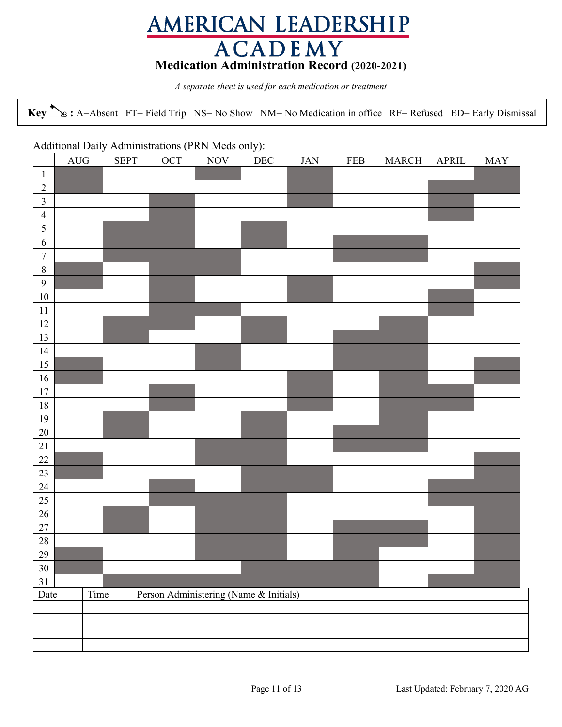## AMERICAN LEADERSHIP **ACADEMY Medication Administration Record (2020-2021)**

*A separate sheet is used for each medication or treatment*

**Key :** A=Absent FT= Field Trip NS= No Show NM= No Medication in office RF= Refused ED= Early Dismissal

#### Additional Daily Administrations (PRN Meds only):

|                         | $\rm{AUG}$ | <b>SEPT</b> | $\lambda$<br>OCT                       | <b>NOV</b> | $\overline{\phantom{a}}$<br>$\rm DEC$ | $JAN$ | <b>FEB</b> | MARCH | APRIL | <b>MAY</b> |
|-------------------------|------------|-------------|----------------------------------------|------------|---------------------------------------|-------|------------|-------|-------|------------|
| $\mathbf{1}$            |            |             |                                        |            |                                       |       |            |       |       |            |
| $\sqrt{2}$              |            |             |                                        |            |                                       |       |            |       |       |            |
| $\overline{\mathbf{3}}$ |            |             |                                        |            |                                       |       |            |       |       |            |
| $\overline{4}$          |            |             |                                        |            |                                       |       |            |       |       |            |
| 5                       |            |             |                                        |            |                                       |       |            |       |       |            |
| $\sqrt{6}$              |            |             |                                        |            |                                       |       |            |       |       |            |
| $\boldsymbol{7}$        |            |             |                                        |            |                                       |       |            |       |       |            |
| $\,8\,$                 |            |             |                                        |            |                                       |       |            |       |       |            |
| $\overline{9}$          |            |             |                                        |            |                                       |       |            |       |       |            |
| $10\,$                  |            |             |                                        |            |                                       |       |            |       |       |            |
| 11<br>12                |            |             |                                        |            |                                       |       |            |       |       |            |
| 13                      |            |             |                                        |            |                                       |       |            |       |       |            |
| 14                      |            |             |                                        |            |                                       |       |            |       |       |            |
| 15                      |            |             |                                        |            |                                       |       |            |       |       |            |
| 16                      |            |             |                                        |            |                                       |       |            |       |       |            |
| 17                      |            |             |                                        |            |                                       |       |            |       |       |            |
| 18                      |            |             |                                        |            |                                       |       |            |       |       |            |
| 19                      |            |             |                                        |            |                                       |       |            |       |       |            |
| 20                      |            |             |                                        |            |                                       |       |            |       |       |            |
| 21                      |            |             |                                        |            |                                       |       |            |       |       |            |
| 22                      |            |             |                                        |            |                                       |       |            |       |       |            |
| 23                      |            |             |                                        |            |                                       |       |            |       |       |            |
| 24                      |            |             |                                        |            |                                       |       |            |       |       |            |
| 25                      |            |             |                                        |            |                                       |       |            |       |       |            |
| 26                      |            |             |                                        |            |                                       |       |            |       |       |            |
| 27                      |            |             |                                        |            |                                       |       |            |       |       |            |
| 28                      |            |             |                                        |            |                                       |       |            |       |       |            |
| 29                      |            |             |                                        |            |                                       |       |            |       |       |            |
| 30 <sub>1</sub>         |            |             |                                        |            |                                       |       |            |       |       |            |
| 31<br>Date              |            | Time        | Person Administering (Name & Initials) |            |                                       |       |            |       |       |            |
|                         |            |             |                                        |            |                                       |       |            |       |       |            |
|                         |            |             |                                        |            |                                       |       |            |       |       |            |
|                         |            |             |                                        |            |                                       |       |            |       |       |            |
|                         |            |             |                                        |            |                                       |       |            |       |       |            |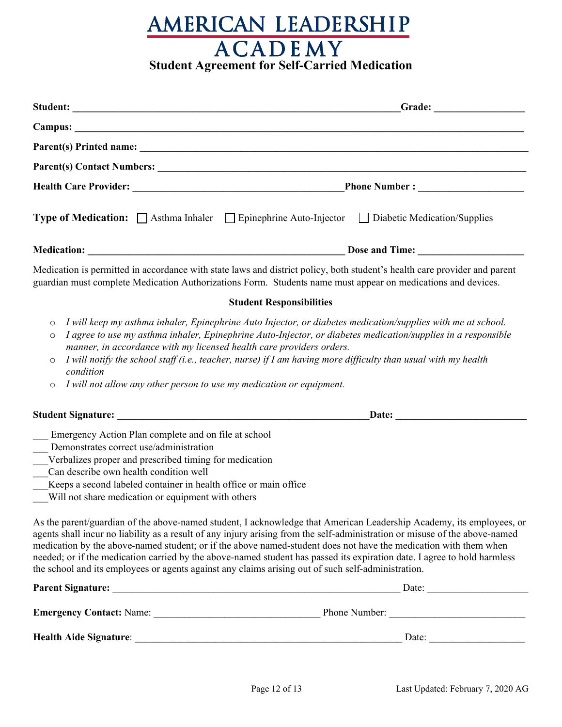# AMERICAN LEADERSHIP **Student Agreement for Self-Carried Medication**

|                                                                                                                                                                                                                                                                                                                               | Type of Medication: □ Asthma Inhaler □ Epinephrine Auto-Injector □ Diabetic Medication/Supplies                                                                                                                                                                                                                                                                                                                                                                                                     |  |  |  |  |
|-------------------------------------------------------------------------------------------------------------------------------------------------------------------------------------------------------------------------------------------------------------------------------------------------------------------------------|-----------------------------------------------------------------------------------------------------------------------------------------------------------------------------------------------------------------------------------------------------------------------------------------------------------------------------------------------------------------------------------------------------------------------------------------------------------------------------------------------------|--|--|--|--|
|                                                                                                                                                                                                                                                                                                                               |                                                                                                                                                                                                                                                                                                                                                                                                                                                                                                     |  |  |  |  |
|                                                                                                                                                                                                                                                                                                                               | Medication is permitted in accordance with state laws and district policy, both student's health care provider and parent<br>guardian must complete Medication Authorizations Form. Students name must appear on medications and devices.                                                                                                                                                                                                                                                           |  |  |  |  |
|                                                                                                                                                                                                                                                                                                                               | <b>Student Responsibilities</b>                                                                                                                                                                                                                                                                                                                                                                                                                                                                     |  |  |  |  |
| $\circ$<br>$\circ$<br>manner, in accordance with my licensed health care providers orders.<br>$\circ$<br>condition<br>I will not allow any other person to use my medication or equipment.<br>O                                                                                                                               | I will keep my asthma inhaler, Epinephrine Auto Injector, or diabetes medication/supplies with me at school.<br>I agree to use my asthma inhaler, Epinephrine Auto-Injector, or diabetes medication/supplies in a responsible<br>I will notify the school staff (i.e., teacher, nurse) if I am having more difficulty than usual with my health                                                                                                                                                     |  |  |  |  |
|                                                                                                                                                                                                                                                                                                                               | Date: Date:                                                                                                                                                                                                                                                                                                                                                                                                                                                                                         |  |  |  |  |
| Emergency Action Plan complete and on file at school<br>Demonstrates correct use/administration<br>Verbalizes proper and prescribed timing for medication<br>Can describe own health condition well<br>Keeps a second labeled container in health office or main office<br>Will not share medication or equipment with others | As the parent/guardian of the above-named student, I acknowledge that American Leadership Academy, its employees, or<br>agents shall incur no liability as a result of any injury arising from the self-administration or misuse of the above-named<br>medication by the above-named student; or if the above named-student does not have the medication with them when<br>needed; or if the medication carried by the above-named student has passed its expiration date. I agree to hold harmless |  |  |  |  |
|                                                                                                                                                                                                                                                                                                                               | the school and its employees or agents against any claims arising out of such self-administration.                                                                                                                                                                                                                                                                                                                                                                                                  |  |  |  |  |
| <b>Parent Signature:</b>                                                                                                                                                                                                                                                                                                      | Date:                                                                                                                                                                                                                                                                                                                                                                                                                                                                                               |  |  |  |  |

| <b>Emergency Contact: Name:</b> | Phone Number: |  |
|---------------------------------|---------------|--|
| <b>Health Aide Signature:</b>   | Date:         |  |